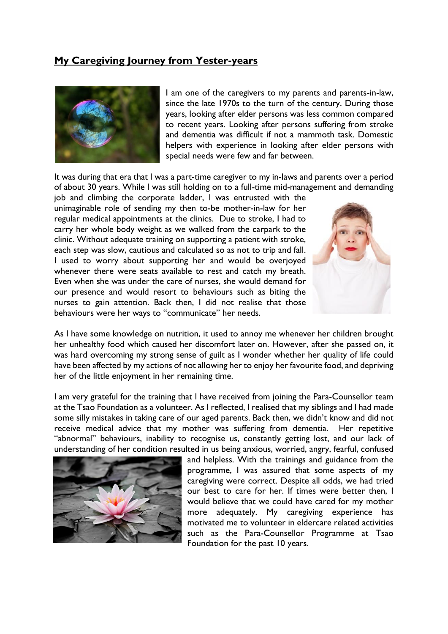## **My Caregiving Journey from Yester-years**



I am one of the caregivers to my parents and parents-in-law, since the late 1970s to the turn of the century. During those years, looking after elder persons was less common compared to recent years. Looking after persons suffering from stroke and dementia was difficult if not a mammoth task. Domestic helpers with experience in looking after elder persons with special needs were few and far between.

It was during that era that I was a part-time caregiver to my in-laws and parents over a period of about 30 years. While I was still holding on to a full-time mid-management and demanding

job and climbing the corporate ladder, I was entrusted with the unimaginable role of sending my then to-be mother-in-law for her regular medical appointments at the clinics. Due to stroke, I had to carry her whole body weight as we walked from the carpark to the clinic. Without adequate training on supporting a patient with stroke, each step was slow, cautious and calculated so as not to trip and fall. I used to worry about supporting her and would be overjoyed whenever there were seats available to rest and catch my breath. Even when she was under the care of nurses, she would demand for our presence and would resort to behaviours such as biting the nurses to gain attention. Back then, I did not realise that those behaviours were her ways to "communicate" her needs.



As I have some knowledge on nutrition, it used to annoy me whenever her children brought her unhealthy food which caused her discomfort later on. However, after she passed on, it was hard overcoming my strong sense of guilt as I wonder whether her quality of life could have been affected by my actions of not allowing her to enjoy her favourite food, and depriving her of the little enjoyment in her remaining time.

I am very grateful for the training that I have received from joining the Para-Counsellor team at the Tsao Foundation as a volunteer. As I reflected, I realised that my siblings and I had made some silly mistakes in taking care of our aged parents. Back then, we didn't know and did not receive medical advice that my mother was suffering from dementia. Her repetitive "abnormal" behaviours, inability to recognise us, constantly getting lost, and our lack of understanding of her condition resulted in us being anxious, worried, angry, fearful, confused



and helpless. With the trainings and guidance from the programme, I was assured that some aspects of my caregiving were correct. Despite all odds, we had tried our best to care for her. If times were better then, I would believe that we could have cared for my mother more adequately. My caregiving experience has motivated me to volunteer in eldercare related activities such as the Para-Counsellor Programme at Tsao Foundation for the past 10 years.